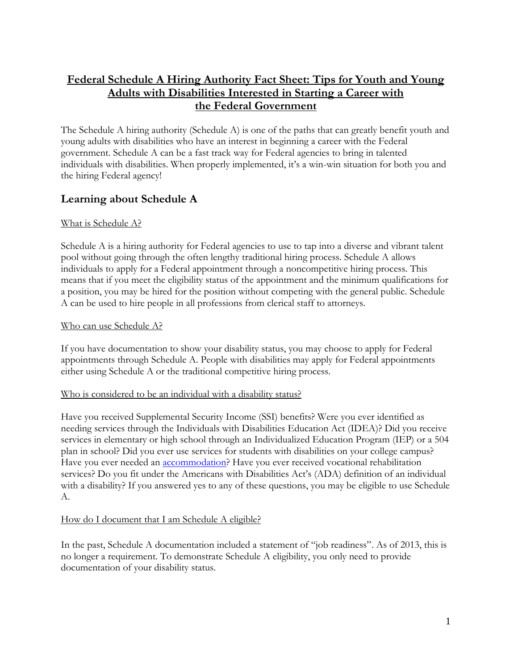# **Federal Schedule A Hiring Authority Fact Sheet: Tips for Youth and Young Adults with Disabilities Interested in Starting a Career with the Federal Government**

The Schedule A hiring authority (Schedule A) is one of the paths that can greatly benefit youth and young adults with disabilities who have an interest in beginning a career with the Federal government. Schedule A can be a fast track way for Federal agencies to bring in talented individuals with disabilities. When properly implemented, it's a win-win situation for both you and the hiring Federal agency!

# **Learning about Schedule A**

### What is Schedule A?

Schedule A is a hiring authority for Federal agencies to use to tap into a diverse and vibrant talent pool without going through the often lengthy traditional hiring process. Schedule A allows individuals to apply for a Federal appointment through a noncompetitive hiring process. This means that if you meet the eligibility status of the appointment and the minimum qualifications for a position, you may be hired for the position without competing with the general public. Schedule A can be used to hire people in all professions from clerical staff to attorneys.

### Who can use Schedule A?

If you have documentation to show your disability status, you may choose to apply for Federal appointments through Schedule A. People with disabilities may apply for Federal appointments either using Schedule A or the traditional competitive hiring process.

### Who is considered to be an individual with a disability status?

Have you received Supplemental Security Income (SSI) benefits? Were you ever identified as needing services through the Individuals with Disabilities Education Act (IDEA)? Did you receive services in elementary or high school through an Individualized Education Program (IEP) or a 504 plan in school? Did you ever use services for students with disabilities on your college campus? Have you ever needed an **accommodation**? Have you ever received vocational rehabilitation services? Do you fit under the Americans with Disabilities Act's (ADA) definition of an individual with a disability? If you answered yes to any of these questions, you may be eligible to use Schedule A.

### How do I document that I am Schedule A eligible?

In the past, Schedule A documentation included a statement of "job readiness". As of 2013, this is no longer a requirement. To demonstrate Schedule A eligibility, you only need to provide documentation of your disability status.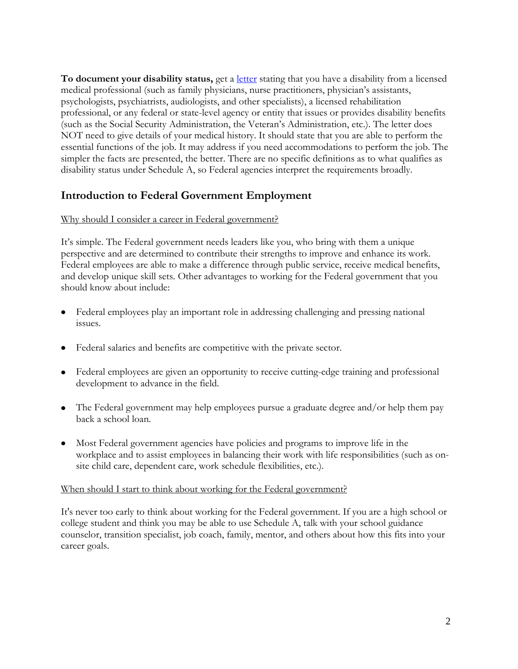**To document your disability status,** get a [letter](http://www.dol.gov/odep/wrp/ScheduleALetter.pdf) stating that you have a disability from a licensed medical professional (such as family physicians, nurse practitioners, physician's assistants, psychologists, psychiatrists, audiologists, and other specialists), a licensed rehabilitation professional, or any federal or state-level agency or entity that issues or provides disability benefits (such as the Social Security Administration, the Veteran's Administration, etc.). The letter does NOT need to give details of your medical history. It should state that you are able to perform the essential functions of the job. It may address if you need accommodations to perform the job. The simpler the facts are presented, the better. There are no specific definitions as to what qualifies as disability status under Schedule A, so Federal agencies interpret the requirements broadly.

# **Introduction to Federal Government Employment**

### Why should I consider a career in Federal government?

It's simple. The Federal government needs leaders like you, who bring with them a unique perspective and are determined to contribute their strengths to improve and enhance its work. Federal employees are able to make a difference through public service, receive medical benefits, and develop unique skill sets. Other advantages to working for the Federal government that you should know about include:

- Federal employees play an important role in addressing challenging and pressing national issues.
- Federal salaries and benefits are competitive with the private sector.
- Federal employees are given an opportunity to receive cutting-edge training and professional development to advance in the field.
- The Federal government may help employees pursue a graduate degree and/or help them pay back a school loan.
- Most Federal government agencies have policies and programs to improve life in the workplace and to assist employees in balancing their work with life responsibilities (such as onsite child care, dependent care, work schedule flexibilities, etc.).

### When should I start to think about working for the Federal government?

It's never too early to think about working for the Federal government. If you are a high school or college student and think you may be able to use Schedule A, talk with your school guidance counselor, transition specialist, job coach, family, mentor, and others about how this fits into your career goals.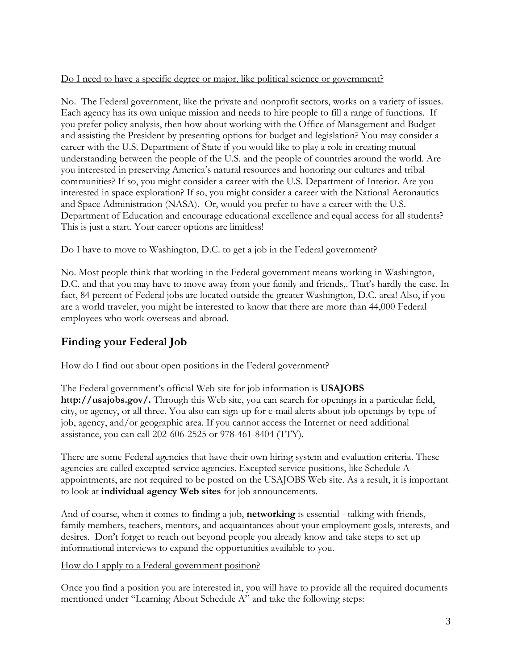### Do I need to have a specific degree or major, like political science or government?

No. The Federal government, like the private and nonprofit sectors, works on a variety of issues. Each agency has its own unique mission and needs to hire people to fill a range of functions. If you prefer policy analysis, then how about working with the Office of Management and Budget and assisting the President by presenting options for budget and legislation? You may consider a career with the U.S. Department of State if you would like to play a role in creating mutual understanding between the people of the U.S. and the people of countries around the world. Are you interested in preserving America's natural resources and honoring our cultures and tribal communities? If so, you might consider a career with the U.S. Department of Interior. Are you interested in space exploration? If so, you might consider a career with the National Aeronautics and Space Administration (NASA). Or, would you prefer to have a career with the U.S. Department of Education and encourage educational excellence and equal access for all students? This is just a start. Your career options are limitless!

### Do I have to move to Washington, D.C. to get a job in the Federal government?

No. Most people think that working in the Federal government means working in Washington, D.C. and that you may have to move away from your family and friends,. That's hardly the case. In fact, 84 percent of Federal jobs are located outside the greater Washington, D.C. area! Also, if you are a world traveler, you might be interested to know that there are more than 44,000 Federal employees who work overseas and abroad.

# **Finding your Federal Job**

### How do I find out about open positions in the Federal government?

The Federal government's official Web site for job information is **USAJOBS http://usajobs.gov/.** Through this Web site, you can search for openings in a particular field, city, or agency, or all three. You also can sign-up for e-mail alerts about job openings by type of job, agency, and/or geographic area. If you cannot access the Internet or need additional assistance, you can call 202-606-2525 or 978-461-8404 (TTY).

There are some Federal agencies that have their own hiring system and evaluation criteria. These agencies are called excepted service agencies. Excepted service positions, like Schedule A appointments, are not required to be posted on the USAJOBS Web site. As a result, it is important to look at **individual agency Web sites** for job announcements.

And of course, when it comes to finding a job, **networking** is essential - talking with friends, family members, teachers, mentors, and acquaintances about your employment goals, interests, and desires. Don't forget to reach out beyond people you already know and take steps to set up informational interviews to expand the opportunities available to you.

### How do I apply to a Federal government position?

Once you find a position you are interested in, you will have to provide all the required documents mentioned under "Learning About Schedule A" and take the following steps: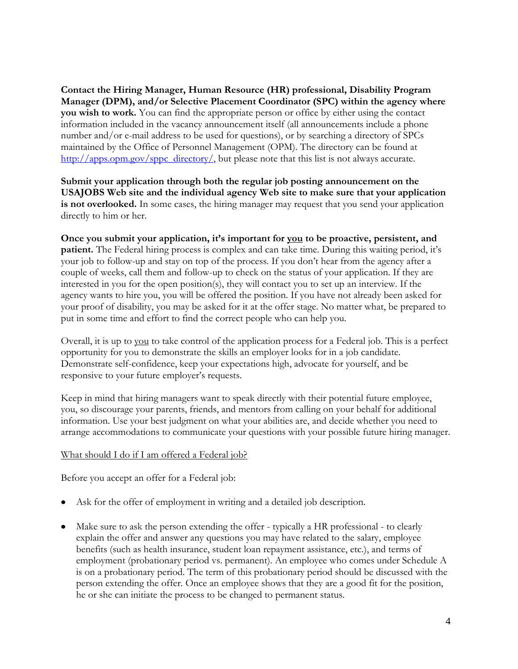**Contact the Hiring Manager, Human Resource (HR) professional, Disability Program Manager (DPM), and/or Selective Placement Coordinator (SPC) within the agency where you wish to work.** You can find the appropriate person or office by either using the contact information included in the vacancy announcement itself (all announcements include a phone number and/or e-mail address to be used for questions), or by searching a directory of SPCs maintained by the Office of Personnel Management (OPM). The directory can be found at [http://apps.opm.gov/sppc\\_directory/,](http://apps.opm.gov/sppc_directory/) but please note that this list is not always accurate.

**Submit your application through both the regular job posting announcement on the USAJOBS Web site and the individual agency Web site to make sure that your application**  is not overlooked. In some cases, the hiring manager may request that you send your application directly to him or her.

**Once you submit your application, it's important for you to be proactive, persistent, and patient.** The Federal hiring process is complex and can take time. During this waiting period, it's your job to follow-up and stay on top of the process. If you don't hear from the agency after a couple of weeks, call them and follow-up to check on the status of your application. If they are interested in you for the open position(s), they will contact you to set up an interview. If the agency wants to hire you, you will be offered the position. If you have not already been asked for your proof of disability, you may be asked for it at the offer stage. No matter what, be prepared to put in some time and effort to find the correct people who can help you.

Overall, it is up to you to take control of the application process for a Federal job. This is a perfect opportunity for you to demonstrate the skills an employer looks for in a job candidate. Demonstrate self-confidence, keep your expectations high, advocate for yourself, and be responsive to your future employer's requests.

Keep in mind that hiring managers want to speak directly with their potential future employee, you, so discourage your parents, friends, and mentors from calling on your behalf for additional information. Use your best judgment on what your abilities are, and decide whether you need to arrange accommodations to communicate your questions with your possible future hiring manager.

### What should I do if I am offered a Federal job?

Before you accept an offer for a Federal job:

- Ask for the offer of employment in writing and a detailed job description.
- Make sure to ask the person extending the offer typically a HR professional to clearly explain the offer and answer any questions you may have related to the salary, employee benefits (such as health insurance, student loan repayment assistance, etc.), and terms of employment (probationary period vs. permanent). An employee who comes under Schedule A is on a probationary period. The term of this probationary period should be discussed with the person extending the offer. Once an employee shows that they are a good fit for the position, he or she can initiate the process to be changed to permanent status.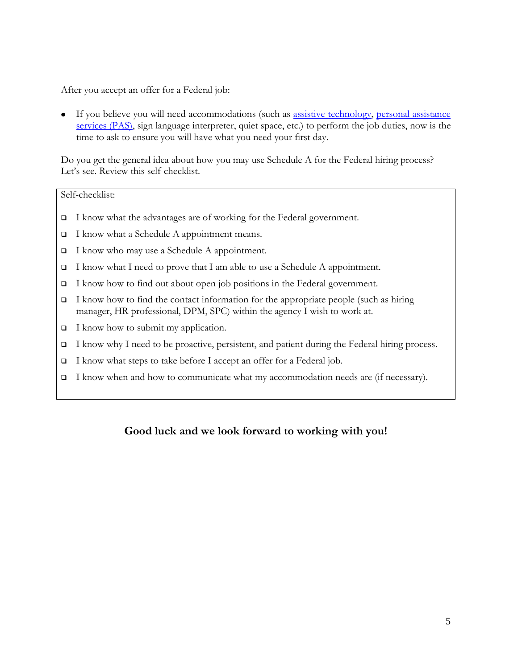After you accept an offer for a Federal job:

If you believe you will need accommodations (such as [assistive technology,](http://www.ncwd-youth.info/taxonomy/term/598) [personal assistance](http://www.ncwd-youth.info/taxonomy/term/766)  [services \(PAS\),](http://www.ncwd-youth.info/taxonomy/term/766) sign language interpreter, quiet space, etc.) to perform the job duties, now is the time to ask to ensure you will have what you need your first day.

Do you get the general idea about how you may use Schedule A for the Federal hiring process? Let's see. Review this self-checklist.

#### Self-checklist:

- □ I know what the advantages are of working for the Federal government.
- $\Box$  I know what a Schedule A appointment means.
- □ I know who may use a Schedule A appointment.
- I know what I need to prove that I am able to use a Schedule A appointment.
- $\Box$  I know how to find out about open job positions in the Federal government.
- $\Box$  I know how to find the contact information for the appropriate people (such as hiring manager, HR professional, DPM, SPC) within the agency I wish to work at.
- $\Box$  I know how to submit my application.
- □ I know why I need to be proactive, persistent, and patient during the Federal hiring process.
- $\Box$  I know what steps to take before I accept an offer for a Federal job.
- I know when and how to communicate what my accommodation needs are (if necessary).

## **Good luck and we look forward to working with you!**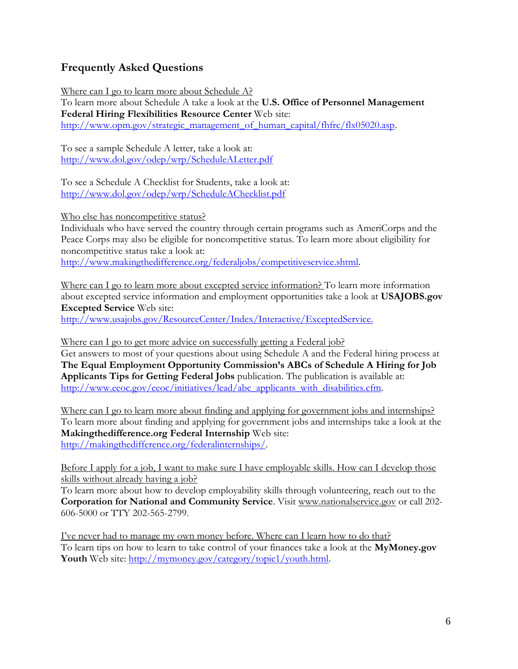# **Frequently Asked Questions**

Where can I go to learn more about Schedule A? To learn more about Schedule A take a look at the **U.S. Office of Personnel Management Federal Hiring Flexibilities Resource Center** Web site: [http://www.opm.gov/strategic\\_management\\_of\\_human\\_capital/fhfrc/flx05020.asp.](http://www.opm.gov/strategic_management_of_human_capital/fhfrc/flx05020.asp)

To see a sample Schedule A letter, take a look at: <http://www.dol.gov/odep/wrp/ScheduleALetter.pdf>

To see a Schedule A Checklist for Students, take a look at: <http://www.dol.gov/odep/wrp/ScheduleAChecklist.pdf>

Who else has noncompetitive status?

Individuals who have served the country through certain programs such as AmeriCorps and the Peace Corps may also be eligible for noncompetitive status. To learn more about eligibility for noncompetitive status take a look at:

[http://www.makingthedifference.org/federaljobs/competitiveservice.shtml.](http://www.makingthedifference.org/federaljobs/competitiveservice.shtml)

Where can I go to learn more about excepted service information? To learn more information about excepted service information and employment opportunities take a look at **USAJOBS.gov Excepted Service** Web site:

<http://www.usajobs.gov/ResourceCenter/Index/Interactive/ExceptedService.>

Where can I go to get more advice on successfully getting a Federal job?

Get answers to most of your questions about using Schedule A and the Federal hiring process at **The Equal Employment Opportunity Commission's ABCs of Schedule A Hiring for Job Applicants Tips for Getting Federal Jobs** publication. The publication is available at: [http://www.eeoc.gov/eeoc/initiatives/lead/abc\\_applicants\\_with\\_disabilities.cfm.](http://www.eeoc.gov/eeoc/initiatives/lead/abc_applicants_with_disabilities.cfm)

Where can I go to learn more about finding and applying for government jobs and internships? To learn more about finding and applying for government jobs and internships take a look at the **Makingthedifference.org Federal Internship** Web site: [http://makingthedifference.org/federalinternships/.](http://makingthedifference.org/federalinternships/)

Before I apply for a job, I want to make sure I have employable skills. How can I develop those skills without already having a job?

To learn more about how to develop employability skills through volunteering, reach out to the **Corporation for National and Community Service**. Visit [www.nationalservice.gov](http://www.nationalservice.gov/) or call 202- 606-5000 or TTY 202-565-2799.

I've never had to manage my own money before. Where can I learn how to do that? To learn tips on how to learn to take control of your finances take a look at the **MyMoney.gov Youth** Web site: [http://mymoney.gov/category/topic1/youth.html.](http://mymoney.gov/category/topic1/youth.html)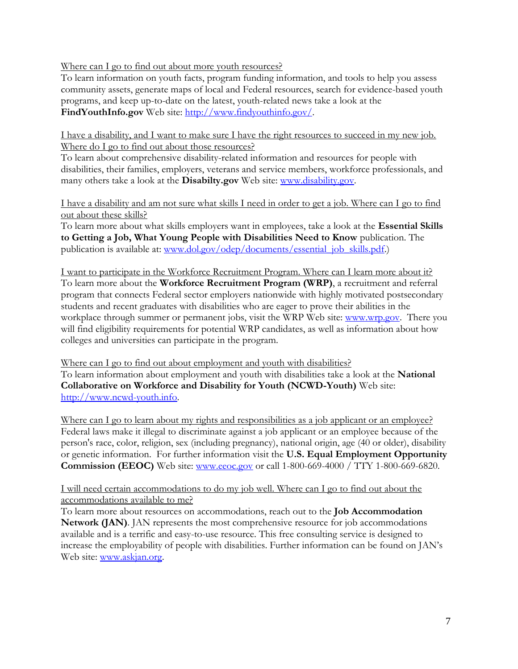Where can I go to find out about more youth resources?

To learn information on youth facts, program funding information, and tools to help you assess community assets, generate maps of local and Federal resources, search for evidence-based youth programs, and keep up-to-date on the latest, youth-related news take a look at the **FindYouthInfo.gov** Web site: [http://www.findyouthinfo.gov/.](http://www.findyouthinfo.gov/)

I have a disability, and I want to make sure I have the right resources to succeed in my new job. Where do I go to find out about those resources?

To learn about comprehensive disability-related information and resources for people with disabilities, their families, employers, veterans and service members, workforce professionals, and many others take a look at the **Disabilty.gov** Web site: [www.disability.gov.](http://www.disability.gov/)

I have a disability and am not sure what skills I need in order to get a job. Where can I go to find out about these skills?

To learn more about what skills employers want in employees, take a look at the **Essential Skills to Getting a Job, What Young People with Disabilities Need to Know** publication. The publication is available at: [www.dol.gov/odep/documents/essential\\_job\\_skills.pdf.](http://www.dol.gov/odep/documents/essential_job_skills.pdf))

I want to participate in the Workforce Recruitment Program. Where can I learn more about it? To learn more about the **Workforce Recruitment Program (WRP)**, a recruitment and referral program that connects Federal sector employers nationwide with highly motivated postsecondary students and recent graduates with disabilities who are eager to prove their abilities in the workplace through summer or permanent jobs, visit the WRP Web site: [www.wrp.gov.](http://www.wrp.gov/) There you will find eligibility requirements for potential WRP candidates, as well as information about how colleges and universities can participate in the program.

Where can I go to find out about employment and youth with disabilities? To learn information about employment and youth with disabilities take a look at the **National Collaborative on Workforce and Disability for Youth (NCWD-Youth)** Web site: [http://www.ncwd-youth.info.](http://www.ncwd-youth.info/)

Where can I go to learn about my rights and responsibilities as a job applicant or an employee? Federal laws make it illegal to discriminate against a job applicant or an employee because of the person's race, color, religion, sex (including pregnancy), national origin, age (40 or older), disability or genetic information. For further information visit the **U.S. Equal Employment Opportunity Commission (EEOC)** Web site: [www.eeoc.gov](http://www.eeoc.gov/) or call 1-800-669-4000 / TTY 1-800-669-6820.

### I will need certain accommodations to do my job well. Where can I go to find out about the accommodations available to me?

To learn more about resources on accommodations, reach out to the **Job Accommodation Network (JAN)**. JAN represents the most comprehensive resource for job accommodations available and is a terrific and easy-to-use resource. This free consulting service is designed to increase the employability of people with disabilities. Further information can be found on JAN's Web site: [www.askjan.org.](http://www.askjan.org/)